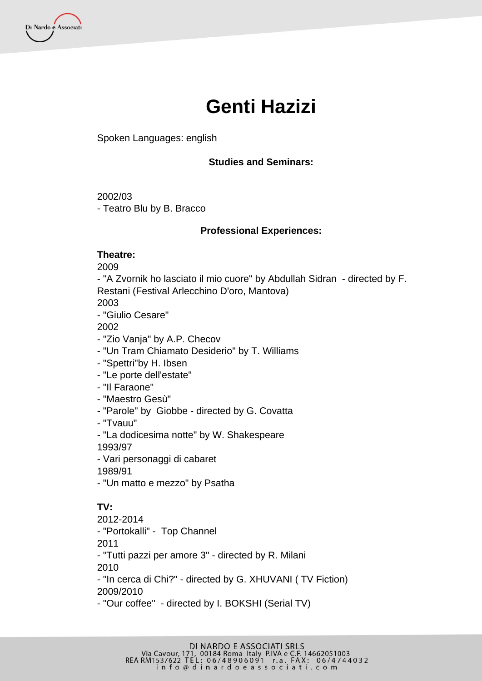Di Nardo e Associati

# **Genti Hazizi**

## Spoken Languages: english

## **Studies and Seminars:**

### 2002/03

- Teatro Blu by B. Bracco

## **Professional Experiences:**

### **Theatre:**

2009

- "A Zvornik ho lasciato il mio cuore" by Abdullah Sidran - directed by F. Restani (Festival Arlecchino D'oro, Mantova)

2003

- "Giulio Cesare"

2002

- "Zio Vanja" by A.P. Checov
- "Un Tram Chiamato Desiderio" by T. Williams
- "Spettri"by H. Ibsen
- "Le porte dell'estate"
- "Il Faraone"
- "Maestro Gesù"
- "Parole" by Giobbe directed by G. Covatta
- "Tvauu"
- "La dodicesima notte" by W. Shakespeare 1993/97
- Vari personaggi di cabaret

1989/91

- "Un matto e mezzo" by Psatha

# **TV:**

2012-2014 - "Portokalli" - Top Channel 2011 - "Tutti pazzi per amore 3" - directed by R. Milani 2010 - "In cerca di Chi?" - directed by G. XHUVANI ( TV Fiction) 2009/2010 - "Our coffee" - directed by I. BOKSHI (Serial TV)